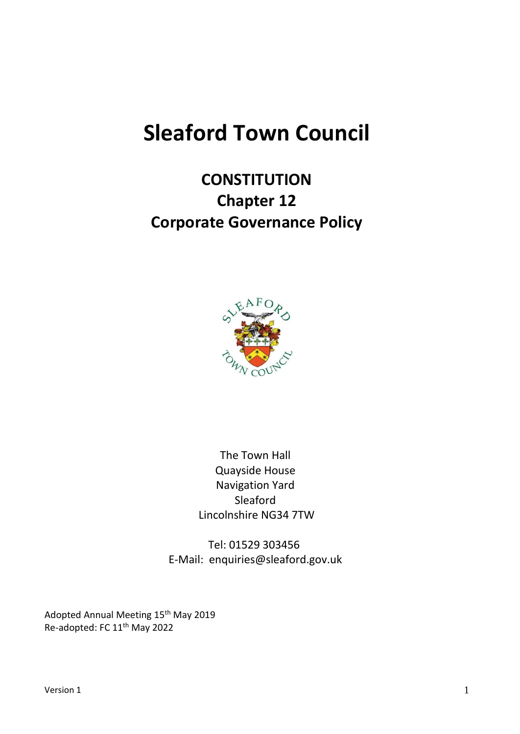# **Sleaford Town Council**

# **CONSTITUTION Chapter 12 Corporate Governance Policy**



The Town Hall Quayside House Navigation Yard Sleaford Lincolnshire NG34 7TW

Tel: 01529 303456 E-Mail: enquiries@sleaford.gov.uk

Adopted Annual Meeting 15<sup>th</sup> May 2019 Re-adopted: FC 11th May 2022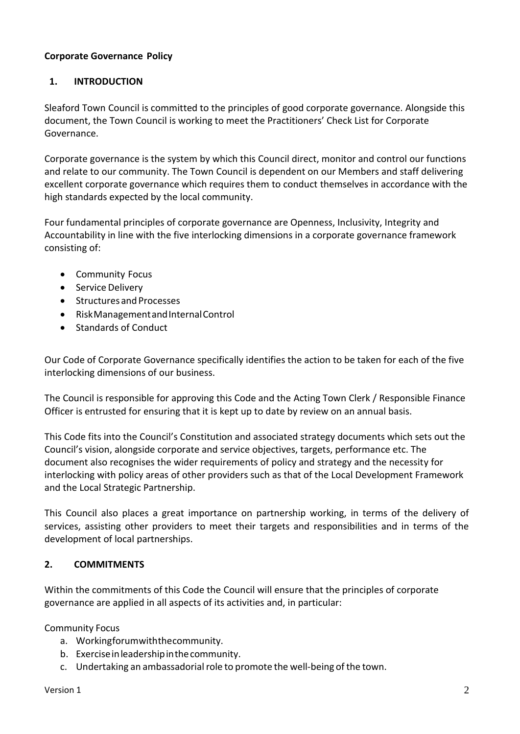#### **Corporate Governance Policy**

#### **1. INTRODUCTION**

Sleaford Town Council is committed to the principles of good corporate governance. Alongside this document, the Town Council is working to meet the Practitioners' Check List for Corporate Governance.

Corporate governance is the system by which this Council direct, monitor and control our functions and relate to our community. The Town Council is dependent on our Members and staff delivering excellent corporate governance which requires them to conduct themselves in accordance with the high standards expected by the local community.

Four fundamental principles of corporate governance are Openness, Inclusivity, Integrity and Accountability in line with the five interlocking dimensions in a corporate governance framework consisting of:

- Community Focus
- Service Delivery
- Structures and Processes
- RiskManagementandInternalControl
- Standards of Conduct

Our Code of Corporate Governance specifically identifies the action to be taken for each of the five interlocking dimensions of our business.

The Council is responsible for approving this Code and the Acting Town Clerk / Responsible Finance Officer is entrusted for ensuring that it is kept up to date by review on an annual basis.

This Code fits into the Council's Constitution and associated strategy documents which sets out the Council's vision, alongside corporate and service objectives, targets, performance etc. The document also recognises the wider requirements of policy and strategy and the necessity for interlocking with policy areas of other providers such as that of the Local Development Framework and the Local Strategic Partnership.

This Council also places a great importance on partnership working, in terms of the delivery of services, assisting other providers to meet their targets and responsibilities and in terms of the development of local partnerships.

#### **2. COMMITMENTS**

Within the commitments of this Code the Council will ensure that the principles of corporate governance are applied in all aspects of its activities and, in particular:

Community Focus

- a. Workingforumwiththecommunity.
- b. Exerciseinleadershipinthecommunity.
- c. Undertaking an ambassadorial role to promote the well-being of the town.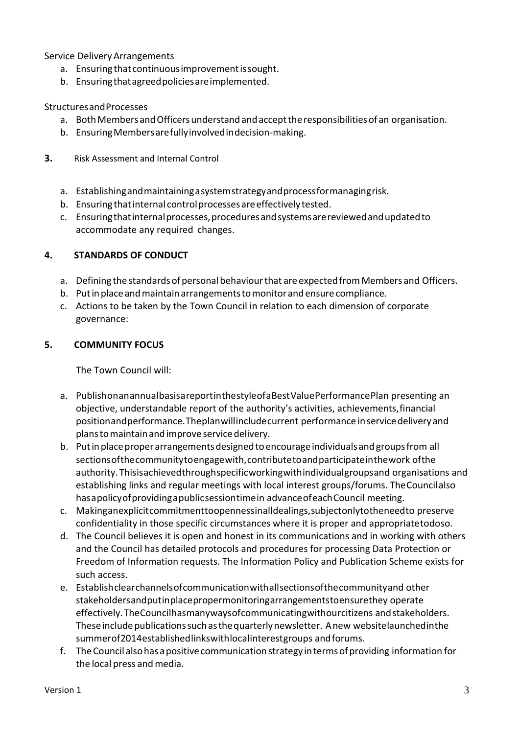Service DeliveryArrangements

- a. Ensuring that continuous improvement is sought.
- b. Ensuringthatagreedpoliciesareimplemented.

#### StructuresandProcesses

- a. Both Members and Officers understand and accept the responsibilities of an organisation.
- b. EnsuringMembersarefullyinvolvedindecision-making.
- **3.** Risk Assessment and Internal Control
	- a. Establishingandmaintainingasystemstrategyandprocessformanagingrisk.
	- b. Ensuring that internal control processes are effectively tested.
	- c. Ensuringthatinternalprocesses,proceduresandsystemsarereviewedandupdatedto accommodate any required changes.

#### **4. STANDARDS OF CONDUCT**

- a. Defining the standards of personal behaviour that are expected from Members and Officers.
- b. Putinplaceandmaintainarrangementstomonitorandensure compliance.
- c. Actions to be taken by the Town Council in relation to each dimension of corporate governance:

#### **5. COMMUNITY FOCUS**

The Town Council will:

- a. PublishonanannualbasisareportinthestyleofaBestValuePerformancePlan presenting an objective, understandable report of the authority's activities, achievements,financial positionandperformance.Theplanwillincludecurrent performance inservicedeliveryand planstomaintainandimprove servicedelivery.
- b. Putinplaceproper arrangementsdesignedtoencourage individuals and groupsfrom all sectionsofthecommunitytoengagewith,contributetoandparticipateinthework ofthe authority.Thisisachievedthroughspecificworkingwithindividualgroupsand organisations and establishing links and regular meetings with local interest groups/forums. TheCouncilalso hasapolicyofprovidingapublicsessiontimein advanceofeachCouncil meeting.
- c. Makinganexplicitcommitmenttoopennessinalldealings,subjectonlytotheneedto preserve confidentiality in those specific circumstances where it is proper and appropriatetodoso.
- d. The Council believes it is open and honest in its communications and in working with others and the Council has detailed protocols and procedures for processing Data Protection or Freedom of Information requests. The Information Policy and Publication Scheme exists for such access.
- e. Establishclearchannelsofcommunicationwithallsectionsofthecommunityand other stakeholdersandputinplacepropermonitoringarrangementstoensurethey operate effectively.TheCouncilhasmanywaysofcommunicatingwithourcitizens andstakeholders. These include publications such as the quarterly newsletter. A new websitelaunched in the summerof2014establishedlinkswithlocalinterestgroups andforums.
- f. TheCouncil alsohas apositivecommunication strategy intermsofproviding information for the local press and media.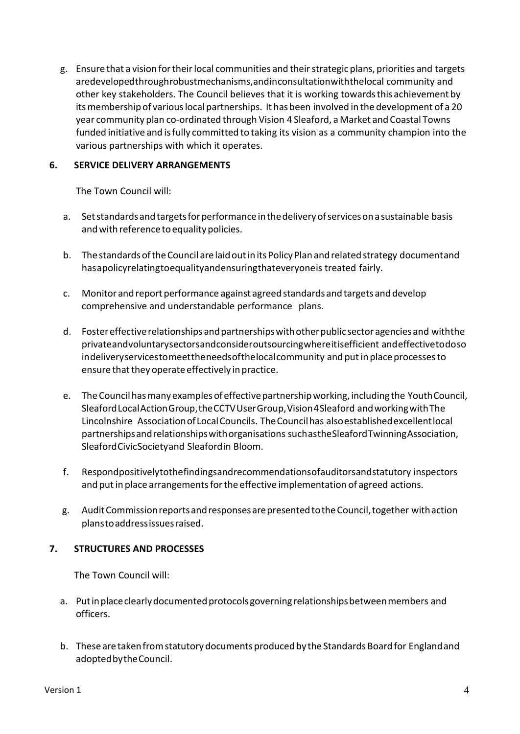g. Ensure that a vision for their local communities and their strategic plans, priorities and targets aredevelopedthroughrobustmechanisms,andinconsultationwiththelocal community and other key stakeholders. The Council believes that it is working towardsthis achievement by its membership of various local partnerships. It has been involved in the development of a 20 year community plan co-ordinated through Vision 4 Sleaford, aMarket and Coastal Towns funded initiative and isfully committed to taking its vision as a community champion into the various partnerships with which it operates.

#### **6. SERVICE DELIVERY ARRANGEMENTS**

The Town Council will:

- a. Setstandardsandtargetsforperformanceinthedeliveryofservicesonasustainable basis and with reference to equality policies.
- b. The standards of the Council are laid out in its Policy Plan and related strategy documentand hasapolicyrelatingtoequalityandensuringthateveryoneis treated fairly.
- c. Monitor and report performance against agreed standards and targets and develop comprehensive and understandable performance plans.
- d. Foster effective relationships and partnerships with other public sector agencies and with the privateandvoluntarysectorsandconsideroutsourcingwhereitisefficient andeffectivetodoso indeliveryservicestomeettheneedsofthelocalcommunity and put in place processes to ensure that they operate effectively in practice.
- e. TheCouncilhasmanyexamples of effectivepartnershipworking, including the YouthCouncil, SleafordLocalActionGroup,theCCTVUserGroup,Vision4Sleaford andworkingwithThe Lincolnshire AssociationofLocalCouncils. TheCouncilhas alsoestablishedexcellentlocal partnershipsandrelationshipswithorganisations suchastheSleafordTwinningAssociation, SleafordCivicSocietyand Sleafordin Bloom.
- f. Respondpositivelytothefindingsandrecommendationsofauditorsandstatutory inspectors and put in place arrangements for the effective implementation of agreed actions.
- g. AuditCommissionreportsandresponsesarepresentedtotheCouncil,together withaction planstoaddressissuesraised.

#### **7. STRUCTURES AND PROCESSES**

The Town Council will:

- a. Put in place clearly documented protocols governing relationships between members and officers.
- b. These are taken from statutory documents produced by the Standards Board for England and adoptedbytheCouncil.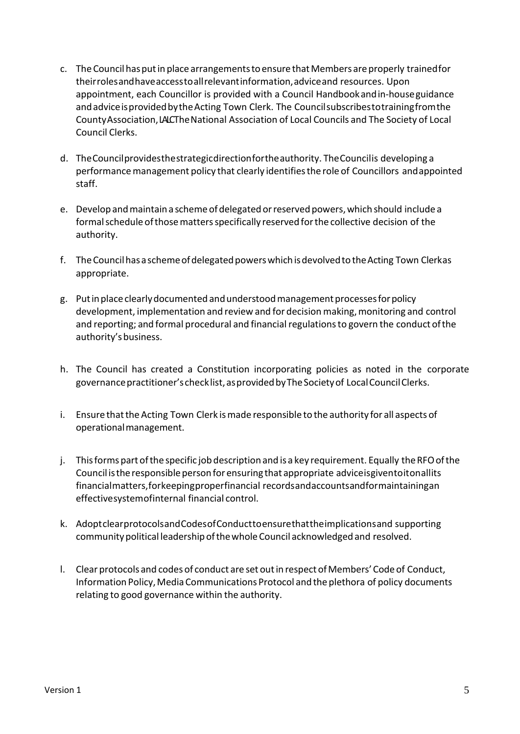- c. TheCouncilhasputin place arrangementstoensure thatMembers areproperly trainedfor theirrolesandhaveaccesstoallrelevantinformation,adviceand resources. Upon appointment, each Councillor is provided with a Council Handbookandin-houseguidance andadviceisprovidedbytheActing Town Clerk. The Councilsubscribestotrainingfromthe CountyAssociation, LALCThe National Association of Local Councils and The Society of Local Council Clerks.
- d. TheCouncilprovidesthestrategicdirectionfortheauthority. TheCouncilis developing a performance management policy that clearly identifies the role of Councillors and appointed staff.
- e. Develop and maintain a scheme of delegated or reserved powers, which should include a formalschedule ofthosemattersspecifically reserved forthe collective decision of the authority.
- f. TheCouncilhasaschemeofdelegatedpowerswhichisdevolvedtotheActing Town Clerkas appropriate.
- g. Putinplaceclearlydocumented andunderstoodmanagementprocessesforpolicy development, implementation and review and for decision making, monitoring and control and reporting; and formal procedural and financial regulations to govern the conduct of the authority'sbusiness.
- h. The Council has created a Constitution incorporating policies as noted in the corporate governance practitioner's checklist, as provided by The Society of Local Council Clerks.
- i. Ensure that the Acting Town Clerk is made responsible to the authority for all aspects of operationalmanagement.
- j. Thisforms part ofthe specific job description and is a key requirement. Equally theRFOofthe Council is the responsible person for ensuring that appropriate advice is givento itonallits financialmatters,forkeepingproperfinancial recordsandaccountsandformaintainingan effectivesystemofinternal financial control.
- k. AdoptclearprotocolsandCodesofConducttoensurethattheimplicationsand supporting communitypolitical leadershipofthewhole Council acknowledgedand resolved.
- l. Clear protocols and codes of conduct are set outin respectofMembers'Codeof Conduct, Information Policy,Media Communications Protocol andthe plethora of policy documents relating to good governance within the authority.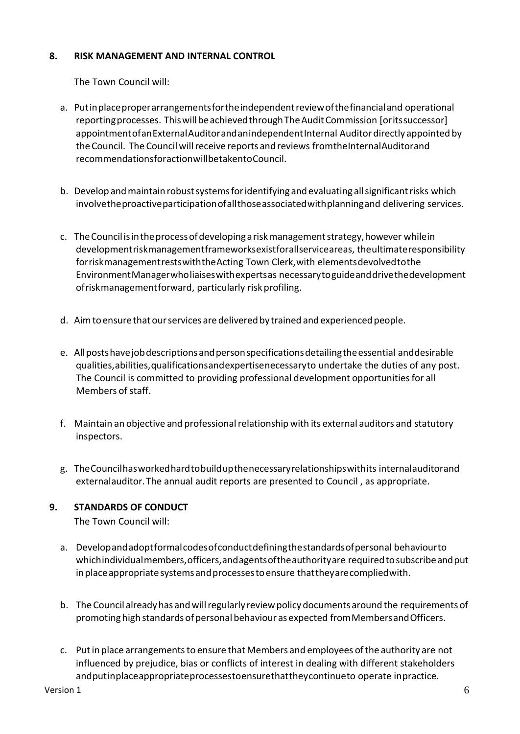#### **8. RISK MANAGEMENT AND INTERNAL CONTROL**

The Town Council will:

- a. Putinplace proper arrangements for the independent review of the financial and operational reporting processes. This will be achieved through The Audit Commission [orits successor] appointmentofanExternalAuditorandanindependentInternal Auditor directly appointed by the Council. The Council will receive reports and reviews fromtheInternalAuditorand recommendationsforactionwillbetakentoCouncil.
- b. Develop and maintain robust systems for identifying and evaluating all significant risks which involvetheproactiveparticipationofallthoseassociatedwithplanningand delivering services.
- c. TheCouncilisintheprocessofdevelopingariskmanagementstrategy,however whilein developmentriskmanagementframeworksexistforallserviceareas, theultimateresponsibility forriskmanagementrestswiththeActing Town Clerk,with elementsdevolvedtothe EnvironmentManagerwholiaiseswithexpertsas necessarytoguideanddrivethedevelopment ofriskmanagementforward, particularly riskprofiling.
- d. Aim to ensure that our services are delivered by trained and experienced people.
- e. Allpostshavejobdescriptionsandpersonspecificationsdetailingtheessential anddesirable qualities,abilities,qualificationsandexpertisenecessaryto undertake the duties of any post. The Council is committed to providing professional development opportunities for all Members of staff.
- f. Maintain an objective and professional relationship with its external auditors and statutory inspectors.
- g. TheCouncilhasworkedhardtobuildupthenecessaryrelationshipswithits internalauditorand externalauditor.The annual audit reports are presented to Council , as appropriate.

#### **9. STANDARDS OF CONDUCT**

The Town Council will:

- a. Developandadoptformalcodesofconductdefiningthestandardsofpersonal behaviourto whichindividualmembers,officers,andagentsoftheauthorityare requiredtosubscribeandput in place appropriate systems and processes to ensure that the yare complied with.
- b. The Council already has and will regularly review policy documents around the requirements of promoting high standards of personal behaviour as expected fromMembersandOfficers.
- c. Put in place arrangements to ensure that Members and employees of the authority are not influenced by prejudice, bias or conflicts of interest in dealing with different stakeholders andputinplaceappropriateprocessestoensurethattheycontinueto operate inpractice.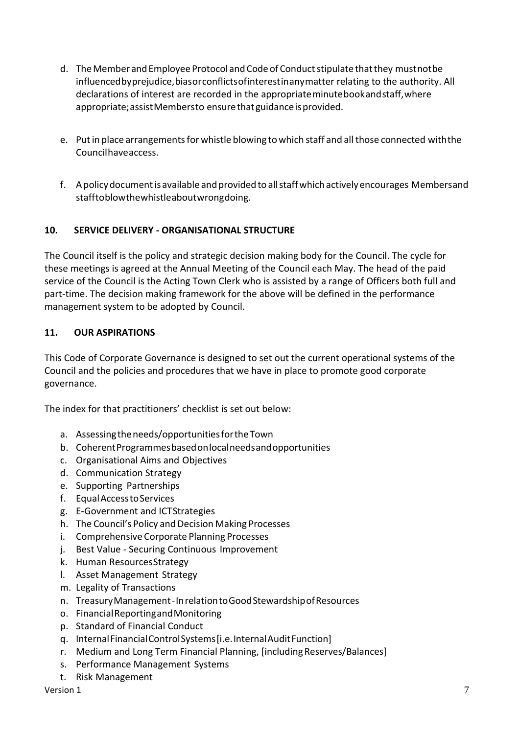- d. The Member and Employee Protocol and Code of Conduct stipulate that they mustnotbe influencedbyprejudice,biasorconflictsofinterestinanymatter relating to the authority. All declarations of interest are recorded in the appropriateminutebookandstaff,where appropriate;assistMembersto ensurethatguidanceisprovided.
- e. Putin place arrangementsfor whistle blowing to which staff and all those connected withthe Councilhaveaccess.
- f. Apolicydocumentisavailable andprovidedto allstaffwhichactivelyencourages Membersand stafftoblowthewhistleaboutwrongdoing.

## **10. SERVICE DELIVERY - ORGANISATIONAL STRUCTURE**

The Council itself is the policy and strategic decision making body for the Council. The cycle for these meetings is agreed at the Annual Meeting of the Council each May. The head of the paid service of the Council is the Acting Town Clerk who is assisted by a range of Officers both full and part-time. The decision making framework for the above will be defined in the performance management system to be adopted by Council.

### **11. OUR ASPIRATIONS**

This Code of Corporate Governance is designed to set out the current operational systems of the Council and the policies and procedures that we have in place to promote good corporate governance.

The index for that practitioners' checklist is set out below:

- a. Assessingtheneeds/opportunitiesfortheTown
- b. CoherentProgrammesbasedonlocalneedsandopportunities
- c. Organisational Aims and Objectives
- d. Communication Strategy
- e. Supporting Partnerships
- f. EqualAccesstoServices
- g. E-Government and ICTStrategies
- h. The Council's Policy and Decision Making Processes
- i. Comprehensive Corporate Planning Processes
- j. Best Value Securing Continuous Improvement
- k. Human ResourcesStrategy
- l. Asset Management Strategy
- m. Legality of Transactions
- n. TreasuryManagement-InrelationtoGoodStewardshipofResources
- o. FinancialReportingandMonitoring
- p. Standard of Financial Conduct
- q. InternalFinancialControlSystems[i.e.InternalAuditFunction]
- r. Medium and Long Term Financial Planning, [including Reserves/Balances]
- s. Performance Management Systems
- t. Risk Management